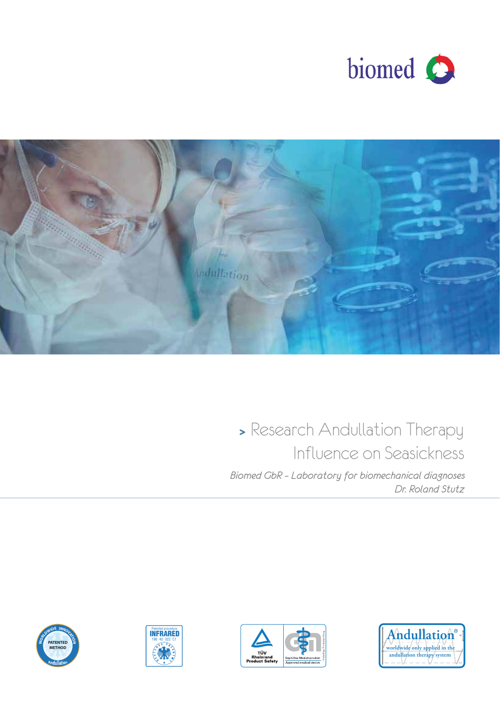



## **<sup>&</sup>gt;**Research Andullation Therapy Influence on Seasickness

*Dr. Roland Stutz Biomed GbR – Laboratory for biomechanical diagnoses* 







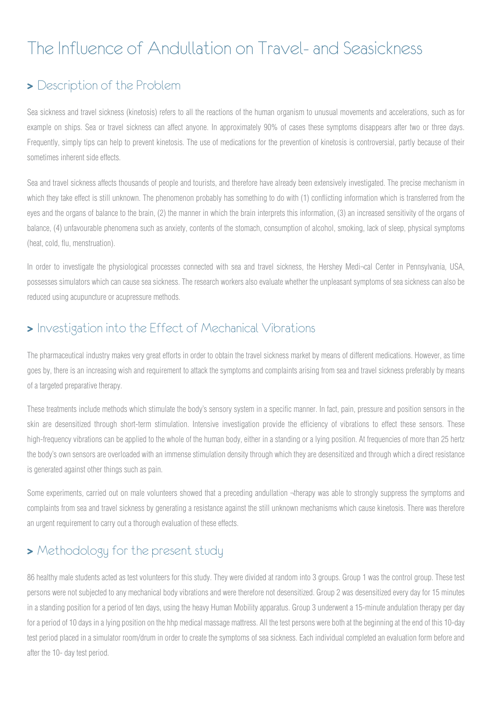# The Influence of Andullation on Travel- and Seasickness

### **>** Description of the Problem

Sea sickness and travel sickness (kinetosis) refers to all the reactions of the human organism to unusual movements and accelerations, such as for example on ships. Sea or travel sickness can affect anyone. In approximately 90% of cases these symptoms disappears after two or three days. Frequently, simply tips can help to prevent kinetosis. The use of medications for the prevention of kinetosis is controversial, partly because of their sometimes inherent side effects.

Sea and travel sickness affects thousands of people and tourists, and therefore have already been extensively investigated. The precise mechanism in which they take effect is still unknown. The phenomenon probably has something to do with (1) conflicting information which is transferred from the eyes and the organs of balance to the brain, (2) the manner in which the brain interprets this information, (3) an increased sensitivity of the organs of balance, (4) unfavourable phenomena such as anxiety, contents of the stomach, consumption of alcohol, smoking, lack of sleep, physical symptoms (heat, cold, flu, menstruation).

In order to investigate the physiological processes connected with sea and travel sickness, the Hershey Medi¬cal Center in Pennsylvania, USA, possesses simulators which can cause sea sickness. The research workers also evaluate whether the unpleasant symptoms of sea sickness can also be reduced using acupuncture or acupressure methods.

### **>** Investigation into the Effect of Mechanical Vibrations

The pharmaceutical industry makes very great efforts in order to obtain the travel sickness market by means of different medications. However, as time goes by, there is an increasing wish and requirement to attack the symptoms and complaints arising from sea and travel sickness preferably by means of a targeted preparative therapy.

These treatments include methods which stimulate the body's sensory system in a specific manner. In fact, pain, pressure and position sensors in the skin are desensitized through short-term stimulation. Intensive investigation provide the efficiency of vibrations to effect these sensors. These high-frequency vibrations can be applied to the whole of the human body, either in a standing or a lying position. At frequencies of more than 25 hertz the body's own sensors are overloaded with an immense stimulation density through which they are desensitized and through which a direct resistance is generated against other things such as pain.

Some experiments, carried out on male volunteers showed that a preceding andullation ¬therapy was able to strongly suppress the symptoms and complaints from sea and travel sickness by generating a resistance against the still unknown mechanisms which cause kinetosis. There was therefore an urgent requirement to carry out a thorough evaluation of these effects.

### $\blacktriangleright$  Methodology for the present study

86 healthy male students acted as test volunteers for this study. They were divided at random into 3 groups. Group 1 was the control group. These test persons were not subjected to any mechanical body vibrations and were therefore not desensitized. Group 2 was desensitized every day for 15 minutes in a standing position for a period of ten days, using the heavy Human Mobility apparatus. Group 3 underwent a 15-minute andulation therapy per day for a period of 10 days in a lying position on the hhp medical massage mattress. All the test persons were both at the beginning at the end of this 10-day test period placed in a simulator room/drum in order to create the symptoms of sea sickness. Each individual completed an evaluation form before and after the 10- day test period.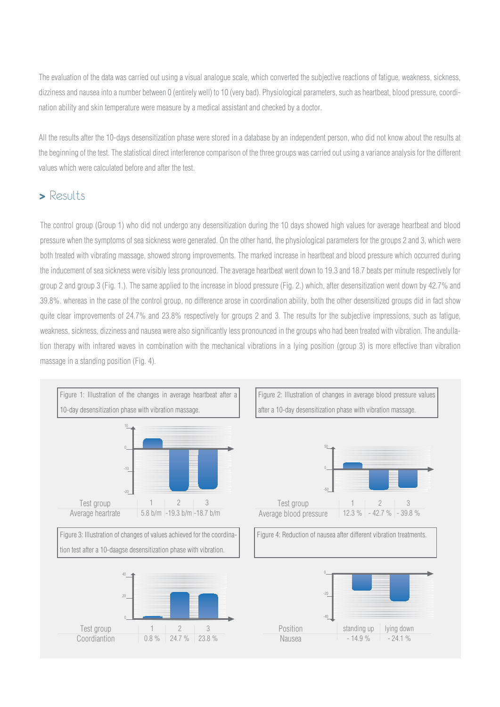The evaluation of the data was carried out using a visual analogue scale, which converted the subjective reactions of fatigue, weakness, sickness, dizziness and nausea into a number between 0 (entirely well) to 10 (very bad). Physiological parameters, such as heartbeat, blood pressure, coordination ability and skin temperature were measure by a medical assistant and checked by a doctor.

All the results after the 10-days desensitization phase were stored in a database by an independent person, who did not know about the results at the beginning of the test. The statistical direct interference comparison of the three groups was carried out using a variance analysis for the different values which were calculated before and after the test.

### **-** Results

The control group (Group 1) who did not undergo any desensitization during the 10 days showed high values for average heartbeat and blood pressure when the symptoms of sea sickness were generated. On the other hand, the physiological parameters for the groups 2 and 3, which were both treated with vibrating massage, showed strong improvements. The marked increase in heartbeat and blood pressure which occurred during the inducement of sea sickness were visibly less pronounced. The average heartbeat went down to 19.3 and 18.7 beats per minute respectively for group 2 and group 3 (Fig. 1.). The same applied to the increase in blood pressure (Fig. 2.) which, after desensitization went down by 42.7% and 39.8%. whereas in the case of the control group, no difference arose in coordination ability, both the other desensitized groups did in fact show quite clear improvements of 24.7% and 23.8% respectively for groups 2 and 3. The results for the subjective impressions, such as fatigue, weakness, sickness, dizziness and nausea were also significantly less pronounced in the groups who had been treated with vibration. The andullation therapy with infrared waves in combination with the mechanical vibrations in a lying position (group 3) is more effective than vibration massage in a standing position (Fig. 4).

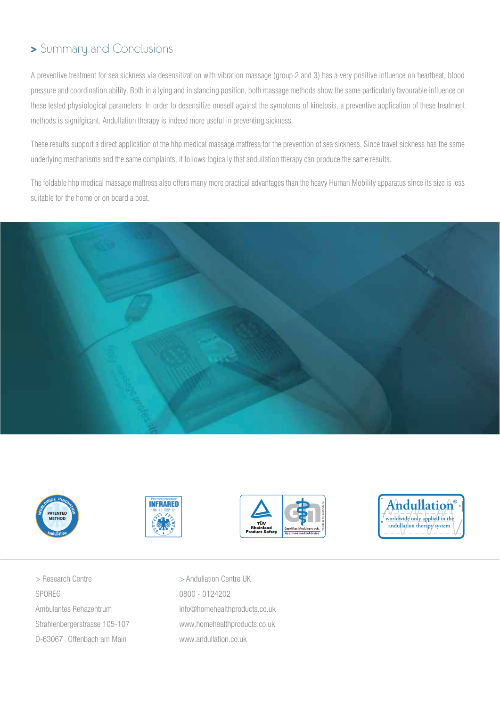### **>** Summary and Conclusions

A preventive treatment for sea sickness via desensitization with vibration massage (group 2 and 3) has a very positive influence on heartbeat, blood pressure and coordination ability. Both in a lying and in standing position, both massage methods show the same particularly favourable influence on these tested physiological parameters. In order to desensitize oneself against the symptoms of kinetosis, a preventive application of these treatment methods is signifgicant. Andullation therapy is indeed more useful in preventing sickness.

These results support a direct application of the hhp medical massage mattress for the prevention of sea sickness. Since travel sickness has the same underlying mechanisms and the same complaints, it follows logically that andullation therapy can produce the same results.

The foldable hhp medical massage mattress also offers many more practical advantages than the heavy Human Mobility apparatus since its size is less suitable for the home or on board a boat.











> Research Centre SPOREG Ambulantes Rehazentrum Strahlenbergerstrasse 105-107 D-63067 Offenbach am Main

> Andullation Centre UK 0800 - 0124202 info@homehealthproducts.co.uk www.homehealthproducts.co.uk www.andullation.co.uk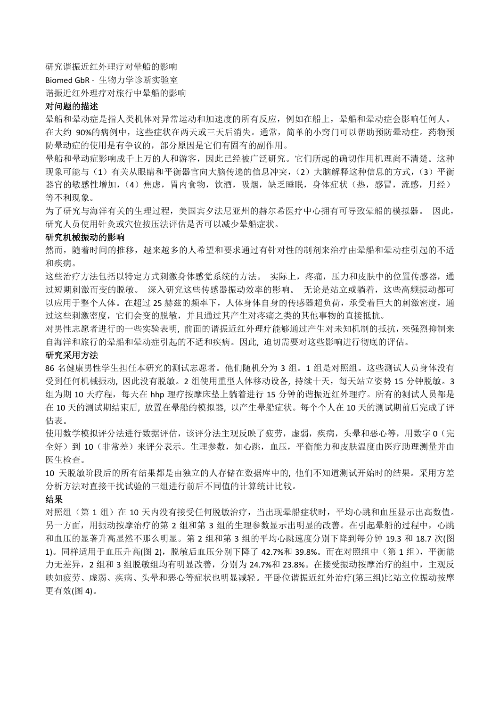研究谐振近红外理疗对晕船的影响 Biomed GbR ‐ 生物力学诊断实验室 谐振近红外理疗对旅行中晕船的影响

#### 对问题的描述

晕船和晕动症是指人类机体对异常运动和加速度的所有反应,例如在船上,晕船和晕动症会影响任何人。 在大约 90%的病例中,这些症状在两天或三天后消失。通常,简单的小窍门可以帮助预防晕动症。药物预 防晕动症的使用是有争议的,部分原因是它们有固有的副作用。

晕船和晕动症影响成千上万的人和游客,因此已经被广泛研究。它们所起的确切作用机理尚不清楚。这种 现象可能与(1)有关从眼睛和平衡器官向大脑传递的信息冲突,(2)大脑解释这种信息的方式,(3)平衡 器官的敏感性增加,(4)焦虑,胃内食物,饮酒,吸烟,缺乏睡眠,身体症状(热,感冒,流感,月经) 等不利现象。

为了研究与海洋有关的生理过程,美国宾夕法尼亚州的赫尔希医疗中心拥有可导致晕船的模拟器。 因此, 研究人员使用针灸或穴位按压法评估是否可以减少晕船症状。

#### 研究机械振动的影响

然而,随着时间的推移,越来越多的人希望和要求通过有针对性的制剂来治疗由晕船和晕动症引起的不适 和疾病。

这些治疗方法包括以特定方式刺激身体感觉系统的方法。 实际上,疼痛,压力和皮肤中的位置传感器,通 过短期刺激而变的脱敏。 深入研究这些传感器振动效率的影响。 无论是站立或躺着,这些高频振动都可 以应用于整个人体。在超过25 赫兹的频率下,人体身体自身的传感器超负荷,承受着巨大的刺激密度,通 过这些刺激密度,它们会变的脱敏,并且通过其产生对疼痛之类的其他事物的直接抵抗。

对男性志愿者进行的一些实验表明, 前面的谐振近红外理疗能够通过产生对未知机制的抵抗,来强烈抑制来 自海洋和旅行的晕船和晕动症引起的不适和疾病。因此, 迫切需要对这些影响进行彻底的评估。

#### 研究采用方法

86 名健康男性学生担任本研究的测试志愿者。他们随机分为 3 组。1 组是对照组。这些测试人员身体没有 受到任何机械振动, 因此没有脱敏。2 组使用重型人体移动设备, 持续十天,每天站立姿势 15 分钟脱敏。3 组为期 10 天疗程, 每天在 hhp 理疗按摩床垫上躺着进行 15 分钟的谐振近红外理疗。所有的测试人员都是 在 10 天的测试期结束后, 放置在晕船的模拟器, 以产生晕船症状。每个个人在 10 天的测试期前后完成了评 估表。

使用数学模拟评分法进行数据评估,该评分法主观反映了疲劳,虚弱,疾病,头晕和恶心等,用数字 0(完 全好)到 10(非常差)来评分表示。生理参数,如心跳,血压,平衡能力和皮肤温度由医疗助理测量并由 医生检查。

10 天脱敏阶段后的所有结果都是由独立的人存储在数据库中的, 他们不知道测试开始时的结果。采用方差 分析方法对直接干扰试验的三组进行前后不同值的计算统计比较。

#### 结果

对照组(第 1 组)在 10 天内没有接受任何脱敏治疗,当出现晕船症状时,平均心跳和血压显示出高数值。 另一方面,用振动按摩治疗的第 2 组和第 3 组的生理参数显示出明显的改善。在引起晕船的过程中,心跳 和血压的显著升高显然不那么明显。第 2 组和第 3 组的平均心跳速度分别下降到每分钟 19.3 和 18.7 次(图 1)。同样适用于血压升高(图 2),脱敏后血压分别下降了 42.7%和 39.8%。而在对照组中(第 1 组),平衡能 力无差异,2 组和 3 组脱敏组均有明显改善,分别为 24.7%和 23.8%。在接受振动按摩治疗的组中,主观反 映如疲劳、虚弱、疾病、头晕和恶心等症状也明显减轻。平卧位谐振近红外治疗(第三组)比站立位振动按摩 更有效(图 4)。